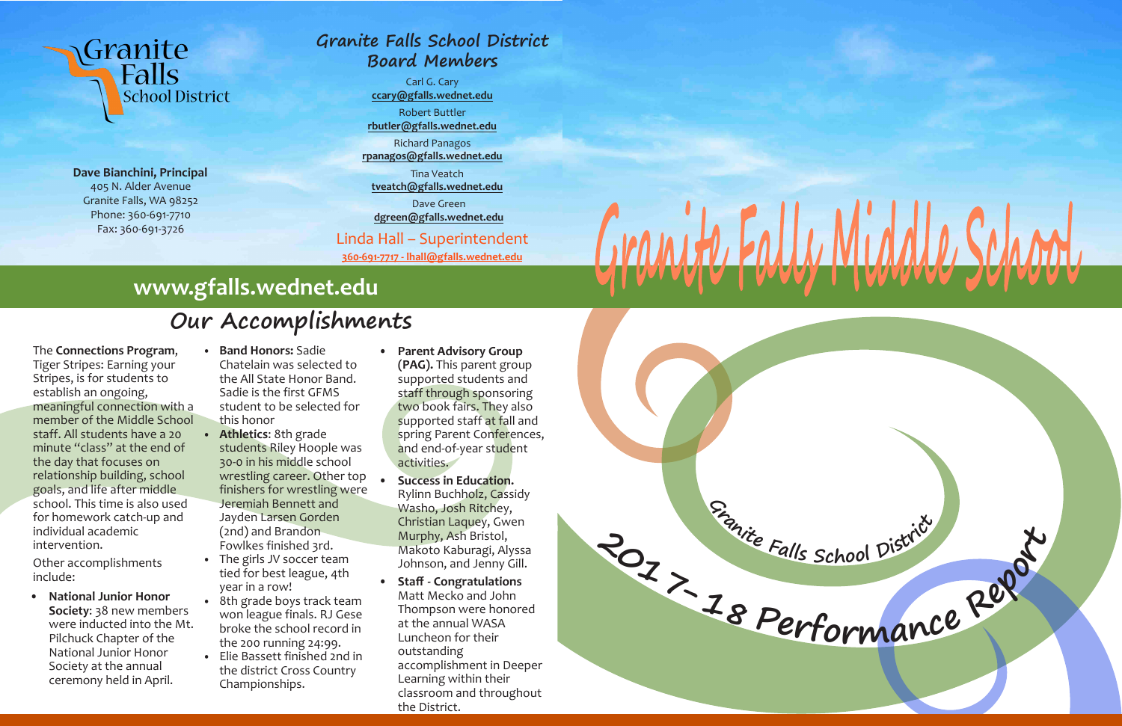# **Granite Falls School District Board Members**

Carl G. Cary **ccary@gfalls.wednet.edu** Robert Buttler

**rbutler@gfalls.wednet.edu**

Richard Panagos

**rpanagos@gfalls.wednet.edu** Tina Veatch

**tveatch@gfalls.wednet.edu**

Dave Green **dgreen@gfalls.wednet.edu**

Linda Hall – Superintendent **360-691-7717 - lhall@gfalls.wednet.edu**

# Granite<br>Talls **School District**

**Dave Bianchini, Principal** 405 N. Alder Avenue Granite Falls, WA 98252 Phone: 360-691-7710 Fax: 360-691-3726

The **Connections Program**, Tiger Stripes: Earning your Stripes, is for students to establish an ongoing, meaningful connection with a member of the Middle School staff. All students have a 20 minute "class" at the end of the day that focuses on relationship building, school goals, and life after middle school. This time is also used for homework catch-up and individual academic intervention.

Other accomplishments include:

**• National Junior Honor Society**: 38 new members were inducted into the Mt. Pilchuck Chapter of the National Junior Honor Society at the annual ceremony held in April.

- **• Band Honors:** Sadie Chatelain was selected to the All State Honor Band. Sadie is the first GFMS student to be selected for this honor
- **• Athletics**: 8th grade students Riley Hoople was 30-0 in his middle school wrestling career. Other top finishers for wrestling were Jeremiah Bennett and Jayden Larsen Gorden (2nd) and Brandon Fowlkes finished 3rd.
- **•** The girls JV soccer team tied for best league, 4th year in a row!
- **•** 8th grade boys track team won league finals. RJ Gese broke the school record in the 200 running 24:99.
- **•** Elie Bassett finished 2nd in the district Cross Country Championships.
- **• Parent Advisory Group (PAG).** This parent group supported students and staff through sponsoring two book fairs. They also supported staff at fall and spring Parent Conferences, and end-of-year student activities.
- **Success in Education.**  Rylinn Buchholz, Cassidy Washo, Josh Ritchey, Christian Laquey, Gwen Murphy, Ash Bristol, Makoto Kaburagi, Alyssa Johnson, and Jenny Gill.
- **• Staff Congratulations**  Matt Mecko and John Thompson were honored at the annual WASA Luncheon for their outstanding accomplishment in Deeper Learning within their classroom and throughout the District.



# **Our Accomplishments**

# **www.gfalls.wednet.edu**



**<sup>G</sup>ranit<sup>e</sup> <sup>F</sup>all<sup>s</sup> <sup>S</sup>cho<sup>o</sup><sup>l</sup> <sup>D</sup>istric<sup>t</sup>**